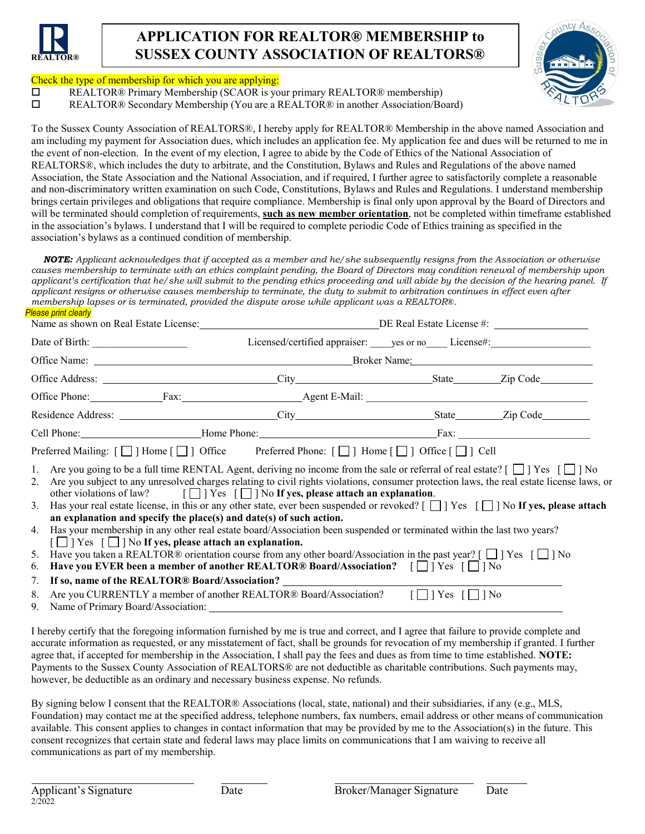

# **APPLICATION FOR REALTOR® MEMBERSHIP to SUSSEX COUNTY ASSOCIATION OF REALTORS®**



#### Check the type of membership for which you are applying:

REALTOR® Primary Membership (SCAOR is your primary REALTOR® membership)

REALTOR® Secondary Membership (You are a REALTOR® in another Association/Board)

To the Sussex County Association of REALTORS®, I hereby apply for REALTOR® Membership in the above named Association and am including my payment for Association dues, which includes an application fee. My application fee and dues will be returned to me in the event of non-election. In the event of my election, I agree to abide by the Code of Ethics of the National Association of REALTORS®, which includes the duty to arbitrate, and the Constitution, Bylaws and Rules and Regulations of the above named Association, the State Association and the National Association, and if required, I further agree to satisfactorily complete a reasonable and non-discriminatory written examination on such Code, Constitutions, Bylaws and Rules and Regulations. I understand membership brings certain privileges and obligations that require compliance. Membership is final only upon approval by the Board of Directors and will be terminated should completion of requirements, **such as new member orientation**, not be completed within timeframe established in the association's bylaws. I understand that I will be required to complete periodic Code of Ethics training as specified in the association's bylaws as a continued condition of membership.

*NOTE: Applicant acknowledges that if accepted as a member and he/she subsequently resigns from the Association or otherwise causes membership to terminate with an ethics complaint pending, the Board of Directors may condition renewal of membership upon* applicant's certification that he/she will submit to the pending ethics proceeding and will abide by the decision of the hearing panel. If *applicant resigns or otherwise causes membership to terminate, the duty to submit to arbitration continues in effect even after membership lapses or is terminated, provided the dispute arose while applicant was a REALTOR®. Please print clearly*

| Name as shown on Real Estate License: DE Real Estate License #: |  |                                                                                                                                                                                                                                                                                                                                                                                                                                                                                                                                                                                                                                                                                                                                                                                                                                                                                                                                                                                                                                                                                                                                                                                                            |  |  |
|-----------------------------------------------------------------|--|------------------------------------------------------------------------------------------------------------------------------------------------------------------------------------------------------------------------------------------------------------------------------------------------------------------------------------------------------------------------------------------------------------------------------------------------------------------------------------------------------------------------------------------------------------------------------------------------------------------------------------------------------------------------------------------------------------------------------------------------------------------------------------------------------------------------------------------------------------------------------------------------------------------------------------------------------------------------------------------------------------------------------------------------------------------------------------------------------------------------------------------------------------------------------------------------------------|--|--|
|                                                                 |  | Licensed/certified appraiser: _____ yes or no ______ License#: _________________                                                                                                                                                                                                                                                                                                                                                                                                                                                                                                                                                                                                                                                                                                                                                                                                                                                                                                                                                                                                                                                                                                                           |  |  |
|                                                                 |  |                                                                                                                                                                                                                                                                                                                                                                                                                                                                                                                                                                                                                                                                                                                                                                                                                                                                                                                                                                                                                                                                                                                                                                                                            |  |  |
|                                                                 |  |                                                                                                                                                                                                                                                                                                                                                                                                                                                                                                                                                                                                                                                                                                                                                                                                                                                                                                                                                                                                                                                                                                                                                                                                            |  |  |
|                                                                 |  |                                                                                                                                                                                                                                                                                                                                                                                                                                                                                                                                                                                                                                                                                                                                                                                                                                                                                                                                                                                                                                                                                                                                                                                                            |  |  |
|                                                                 |  |                                                                                                                                                                                                                                                                                                                                                                                                                                                                                                                                                                                                                                                                                                                                                                                                                                                                                                                                                                                                                                                                                                                                                                                                            |  |  |
|                                                                 |  |                                                                                                                                                                                                                                                                                                                                                                                                                                                                                                                                                                                                                                                                                                                                                                                                                                                                                                                                                                                                                                                                                                                                                                                                            |  |  |
| 2.<br>6.                                                        |  | Preferred Mailing: $[\Box]$ Home $[\Box]$ Office Preferred Phone: $[\Box]$ Home $[\Box]$ Office $[\Box]$ Cell<br>1. Are you going to be a full time RENTAL Agent, deriving no income from the sale or referral of real estate? $[\Box]$ Yes $[\Box]$ No<br>Are you subject to any unresolved charges relating to civil rights violations, consumer protection laws, the real estate license laws, or<br>other violations of law? $[\Box]$ Yes $[\Box]$ No If yes, please attach an explanation.<br>3. Has your real estate license, in this or any other state, ever been suspended or revoked? $[\Box]$ Yes $[\Box]$ No If yes, please attach<br>an explanation and specify the place(s) and date(s) of such action.<br>4. Has your membership in any other real estate board/Association been suspended or terminated within the last two years?<br>$\lceil \square \rceil$ Yes $\lceil \square \rceil$ No If yes, please attach an explanation.<br>5. Have you taken a REALTOR® orientation course from any other board/Association in the past year? $\lceil \square \rceil$ Yes $\lceil \square \rceil$ No<br>Have you EVER been a member of another REALTOR® Board/Association? $\Box$ Yes $\Box$ No |  |  |
| 7.<br>8.                                                        |  | If so, name of the REALTOR® Board/Association? _____________<br>Are you CURRENTLY a member of another REALTOR® Board/Association? $\Box$ TYes $\Box$ TNo                                                                                                                                                                                                                                                                                                                                                                                                                                                                                                                                                                                                                                                                                                                                                                                                                                                                                                                                                                                                                                                   |  |  |
|                                                                 |  |                                                                                                                                                                                                                                                                                                                                                                                                                                                                                                                                                                                                                                                                                                                                                                                                                                                                                                                                                                                                                                                                                                                                                                                                            |  |  |

I hereby certify that the foregoing information furnished by me is true and correct, and I agree that failure to provide complete and accurate information as requested, or any misstatement of fact, shall be grounds for revocation of my membership if granted. I further agree that, if accepted for membership in the Association, I shall pay the fees and dues as from time to time established. **NOTE:** Payments to the Sussex County Association of REALTORS® are not deductible as charitable contributions. Such payments may, however, be deductible as an ordinary and necessary business expense. No refunds.

By signing below I consent that the REALTOR® Associations (local, state, national) and their subsidiaries, if any (e.g., MLS, Foundation) may contact me at the specified address, telephone numbers, fax numbers, email address or other means of communication available. This consent applies to changes in contact information that may be provided by me to the Association(s) in the future. This consent recognizes that certain state and federal laws may place limits on communications that I am waiving to receive all communications as part of my membership.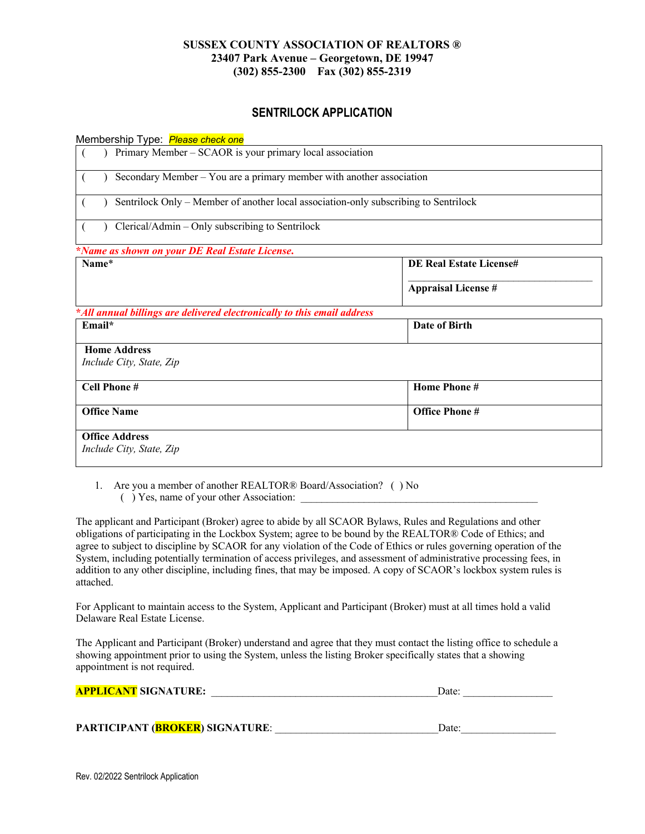## **SUSSEX COUNTY ASSOCIATION OF REALTORS ® 23407 Park Avenue – Georgetown, DE 19947 (302) 855-2300 Fax (302) 855-2319**

# **SENTRILOCK APPLICATION**

Membership Type: *Please check one*

| Primary Member – SCAOR is your primary local association                             |  |  |
|--------------------------------------------------------------------------------------|--|--|
| Secondary Member - You are a primary member with another association                 |  |  |
| Sentrilock Only – Member of another local association-only subscribing to Sentrilock |  |  |
| Clerical/Admin – Only subscribing to Sentrilock                                      |  |  |
|                                                                                      |  |  |
| <b>DE Real Estate License#</b>                                                       |  |  |
| <b>Appraisal License #</b>                                                           |  |  |
| *All annual billings are delivered electronically to this email address              |  |  |
| Date of Birth                                                                        |  |  |
|                                                                                      |  |  |
|                                                                                      |  |  |
| Home Phone#                                                                          |  |  |
| <b>Office Phone #</b>                                                                |  |  |
|                                                                                      |  |  |
|                                                                                      |  |  |
|                                                                                      |  |  |

1. Are you a member of another REALTOR® Board/Association? ( ) No () Yes, name of your other Association:

The applicant and Participant (Broker) agree to abide by all SCAOR Bylaws, Rules and Regulations and other obligations of participating in the Lockbox System; agree to be bound by the REALTOR® Code of Ethics; and agree to subject to discipline by SCAOR for any violation of the Code of Ethics or rules governing operation of the System, including potentially termination of access privileges, and assessment of administrative processing fees, in addition to any other discipline, including fines, that may be imposed. A copy of SCAOR's lockbox system rules is attached.

For Applicant to maintain access to the System, Applicant and Participant (Broker) must at all times hold a valid Delaware Real Estate License.

The Applicant and Participant (Broker) understand and agree that they must contact the listing office to schedule a showing appointment prior to using the System, unless the listing Broker specifically states that a showing appointment is not required.

| <b>APPLICANT SIGNATURE:</b> | Date: |
|-----------------------------|-------|
|                             |       |

| <b>PARTICIPANT (BROKER) SIGNATURE:</b> | Date: |
|----------------------------------------|-------|
|----------------------------------------|-------|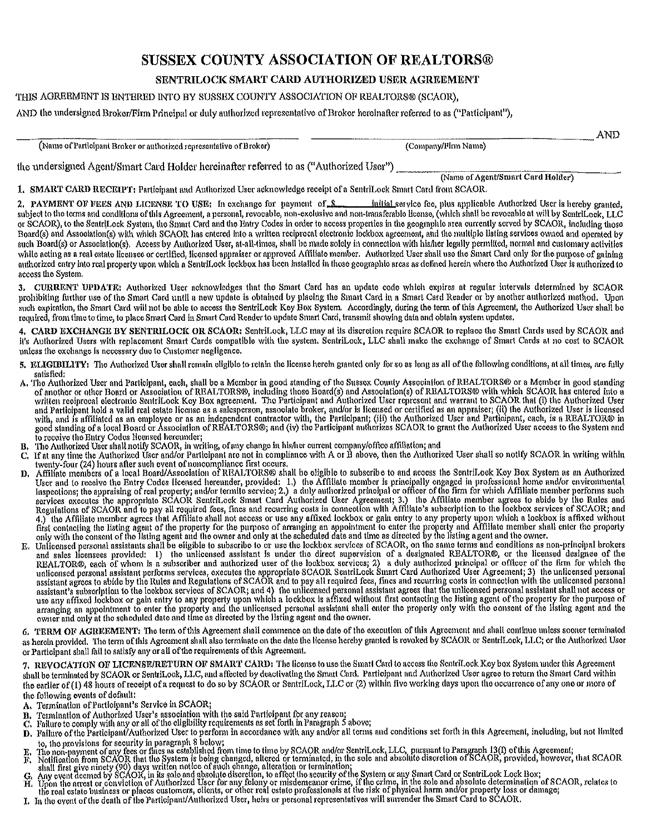# **SUSSEX COUNTY ASSOCIATION OF REALTORS®**

## SENTRILOCK SMART CARD AUTHORIZED USER AGREEMENT

#### THIS AGREEMENT IS ENTERED INTO BY SUSSEX COUNTY ASSOCIATION OF REALTORS® (SCAOR).

AND the undersigned Broker/Firm Principal or duly authorized representative of Broker hereinafter referred to as ("Participant"),

|                                                                     | -YUT                 |
|---------------------------------------------------------------------|----------------------|
| (Name of Participant Broker or authorized representative of Broker) | . Company/Firm Name) |

the undersigned Agent/Smart Card Holder hereinafter referred to as ("Authorized User")

(Name of Agent/Smart Card Holder)

1. SMART CARD RECEIPT: Participant and Authorized User acknowledge receipt of a SentriLock Smart Card from SCAOR.

Initial service fee, plus applicable Authorized User is hereby granted, 2. PAYMENT OF FEES AND LICENSE TO USE: In exchange for payment of \$ subject to the terms and conditions of this Agreement, a personal, revocable, non-exclusive and non-transferable license, (which shall be revocable at will by SentriLock, LLC or SCAOR), to the SentriLock Systom, the Smart Card and the Entry Codes in order to access properties in the geographic area currently served by SCAOR, including those Board(s) and Association(s) with which SCAOR has entered into a written reciprocal electronic lockbox agreement, and the multiple listing services owned and operated by such Board(s) or Association(s). Access by Authorized User, at-all-times, shall be made solely in connection with his/her legally permitted, normal and customary activities while acting as a real estate licensee or certified, licensed appraiser or approved Affiliate member. Authorized User shall use the Smart Card only for the purpose of galping authorized entry into real property upon which a SentriLock lockbox has been installed in those geographic areas as defined herein where the Authorized User is authorized to access the System.

3. CURRENT UPDATE: Authorized User acknowledges that the Smart Card has an update code which expires at regular intervals determined by SCAOR prohibiting further use of the Smart Card until a new update is obtained by placing the Smart Card in a Smart Card Reader or by another authorized method. Upon such expiration, the Smart Card will not be able to access the SentriLock Key Box System. Accordingly, during the term of this Agreement, the Authorized User shall be required, from time to time, to place Smart Card in Smart Card Reader to update Smart Card, transmit showing data and obtain system updates.

4. CARD EXCHANGE BY SENTRILOCK OR SCAOR: SentriLock, LLC may at its discretion require SCAOR to replace the Smart Cards used by SCAOR and it's Authorized Users with replacement Smart Cards compatible with the system. SentriLock, LLC shall make the exchange of Smart Cards at no cost to SCAOR unless the exchange is necessary due to Customer negligence.

- 5. ELIGIBILITY: The Authorized User shall remain eligible to retain the license herein granted only for so as long as all of the following conditions, at all times, are fully satisfied:
- and Participant hold a valid real estate license as a salesperson, associate broker, and/or is licensed or certified as an appraise; (ii) the Authorized User is licensed<br>with, and is affiliated as an employee or as an inde to receive the Bntry Codes licensed hereunder;
- 
- to recorve the Entry Codus needs necessive.<br>The Authorized User shall notify SCAOR, in writing, of any change in his/her current company/office affiliation; and<br>If at any time the Authorized User and/or Participant are not
- D. Affiliate members of a local Board/Association of REALTORS® shall be oligible to subscribe to and access the SentriLock Key Box System as an Authorized<br>User and to receive the Entry Coles Hechale (and increased hereali
- and sales licensees provided: 1) the unitensed assistant is under the direct supervision of a designated REALTOR®, or the licensed designee of the REALTOR®, each of whom is a subscriber and authorized user of the lockbox s

6. TERM OF AGREEMENT: The term of this Agreement shall commence on the date of the execution of this Agreement and shall continue unless sooner terminated as herein provided. The term of this Agreement shall also terminate on the date the Ilcense hereby granted is revoked by SCAOR or SentriLock, LLC; or the Authorized User or Participant shall fall to satisfy any or all of the requirements of this Agreement.

7. REVOCATION OF LICENSE/RETURN OF SMART CARD: The license to use the Smart Card to accoss the SentriLock Key box System under this Agreement shall be terminated by SCAOR or SentriLock, LLC, and affected by deactivating the Smart Card. Participant and Authorized User agree to return the Smart Card within the earlier of (1) 48 hours of receipt of a request to do so by SCAOR or SentriLock, LLC or (2) within five working days upon the occurrence of any one or more of the following events of default:

- A. Termination of Participant's Service in SCAOR;
- 
- B. Termination of Authorized User's association with the said Participant for any reason;<br>C. Failure to comply with any or all of the eligibility requirements as set forth in Paragraph 5 above;
- D. Failure of the Participant/Authorized User to perform in accordance with any and/or all terms and conditions set forth in this Agreement, including, but not limited
- 
- D. ranure of the rature particular Authorized User to perform in accordance with any and/or an terms and conditions set forth in this Agreement, including, but not limited<br>to, the provisions for security in paragraph abolo
- 
- 
-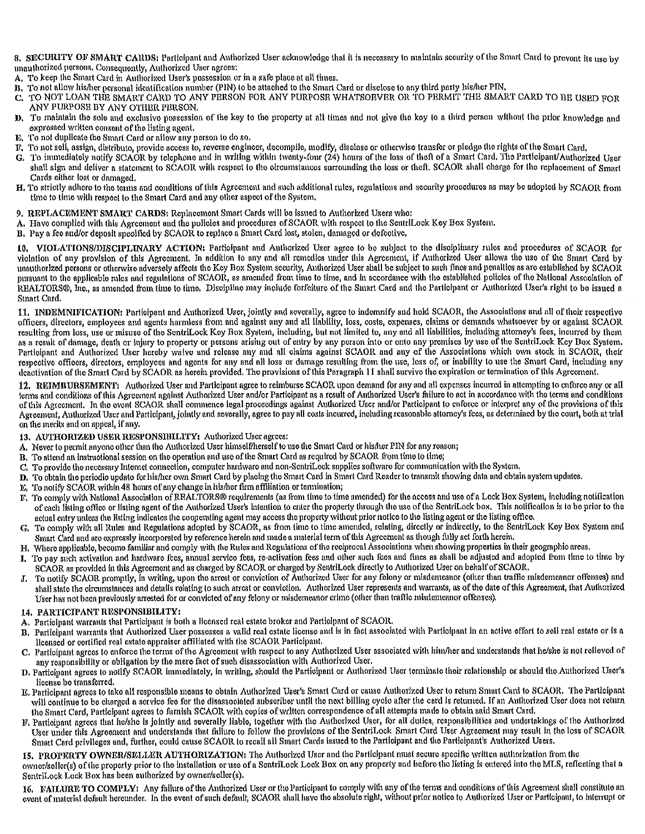8. SECURITY OF SMART CARDS: Participant and Authorized User acknowledge that it is necessary to maintain security of the Smart Card to prevent its use by unauthorized persons. Consequently, Authorized User agrees:

A. To keep the Smart Card in Authorized User's possession or in a safe place at all times.

- B. To not allow his/her personal identification number (PIN) to be attached to the Smart Card or disclose to any third party his/her PIN.
- C. TO NOT LOAN THE SMART CARD TO ANY PERSON FOR ANY PURPOSE WHATSOEVER OR TO PERMIT THE SMART CARD TO BE USED FOR ANY PURPOSE BY ANY OTHER PERSON.
- D. To maintain the sole and exclusive possession of the key to the property at all times and not give the key to a third person without the prior knowledge and expressed written consent of the listing agent.
- E. To not duplicate the Smart Card or allow any person to do so.
- F. To not sell, assign, distributo, provide access to, reverse engineer, decompile, modify, disclose or otherwise transfer or pledge the rights of the Smart Card,
- G. To immediately notify SCAOR by telephone and in writing within twenty-four (24) hours of the loss of theft of a Smart Card. The Participant/Authorized User shall sign and deliver a statement to SCAOR with respect to the oircumstances surrounding the loss or theft. SCAOR shall charge for the replacement of Smart Cards either lost or damaged.
- H. To strictly adhere to the terms and conditions of this Agreement and such additional rules, regulations and security procedures as may be adopted by SCAOR from time to time with respect to the Smart Card and any other aspect of the System,
- 9. REPLACEMENT SMART CARDS: Replacement Smart Cards will be issued to Authorized Users who:
- A. Have complied with this Aercement and the policies and procedures of SCAOR with respect to the SentriLock Key Box System,
- B. Pay a fee and/or deposit specified by SCAOR to replace a Smart Card lost, stolen, damaged or defective.

10. VIOLATIONS/DISCIPLINARY ACTION: Participant and Authorized User agree to be subject to the disciplinary rules and procedures of SCAOR for violation of any provision of this Agreement. In addition to any and all remedies under this Agreement, if Authorized User allows the use of the Smart Card by unauthorized persons or otherwise adversely affects the Key Box System security, Authorized User shall be subject to such fines and penaltics as are established by SCAOR pursuant to the applicable rules and regulations of SCAOR, as amended from time to time, and in accordance with the established policies of the National Association of REALTORS®, Inc., as amended from time to time. Discipline may include forfeiture of the Smart Card and the Participant or Authorized User's right to be issued a Smart Card.

11. INDEMNIFICATION: Participant and Authorized User, jointly and severally, agree to indemnify and hold SCAOR, the Associations and all of their respective officers, directors, employees and agents harmless from and against any and all liability, loss, costs, expenses, claims or demands whatsoever by or against SCAOR resulting from loss, use or misuse of the SentriLock Key Box System, including, but not limited to, any and all liabilities, including attorney's fees, incurred by them as a result of damage, death or injury to property or persons arising out of entry by any person into or onto any premises by use of the SentriLock Key Box System, Participant and Authorized User hereby waive and release any and all claims against SCAOR and any of the Associations which own stock in SCAOR, their respective officers, directors, employees and agents for any and all loss or damage resulting from the use, loss of, or inability to use the Smart Card, including any deactivation of the Smart Card by SCAOR as herein provided. The provisions of this Paragraph 11 shall survive the expiration or termination of this Agreement.

12. REIMBURSEMENT: Authorized User and Participant agree to reimburse SCAOR upon demand for any and all expenses incurred in attempting to enforce any or all terms and conditions of this Agreement against Authorized User and/or Participant as a result of Authorized User's failure to act in accordance with the terms and conditions of this Agreement. In the event SCAOR shall commence legal proceedings against Authorized User and/or Participant to enforce or interpret any of the provisions of this Agreement, Authorized User and Participant, jointly and severally, agree to pay all costs incurred, including reasonable attorney's fees, as determined by the court, both at trial on the merits and on appeal, if any.

13. AUTHORIZED USER RESPONSIBILITY: Authorized User agrees:

- A. Never to permit anyone other than the Authorized User himself/herself to use the Smart Card or his/her PIN for any reason;
- B. To attend an instructional session on the operation and use of the Smart Card as required by SCAOR from time to time;
- To provide the necessary Internet connection, computer hardware and non-SentriLock supplies software for communication with the System.  $\mathbf{C}$
- D. To obtain the periodic update for his/her own Smart Card by placing the Smart Card in Smart Card Reader to transmit showing data and obtain system updates.
- E. To notify SCAOR within 48 hours of any change in his/her firm affiliation or termination;
- F. To comply with National Association of REALTORS® requirements (as from time to time amended) for the access and use of a Lock Box System, including notification of each listing office or listing agent of the Authorized User's intention to enter the property through the use of the SentriLock box. This notification is to be prior to the actual entry unless the Ilsting indicates the cooperating agent may access the property without prior notice to the listing agent or the listing office.
- To comply with all Rules and Regulations adopted by SCAOR, as from time to time amended, relating, directly or indirectly, to the SentriLock Key Box System and G. Smart Card and are expressly incorporated by reference herein and made a material term of this Agreement as though fully set forth herein.
- H. Where applicable, become familiar and comply with the Rules and Regulations of the reciprocal Associations when showing properties in their geographic areas.
- I. To pay such activation and hardware fees, annual service fees, re-activation fees and other such fees and fines as shall be adjusted and adopted from time to time by SCAOR as provided in this Agreement and as charged by SCAOR or charged by SentriLock directly to Authorized User on behalf of SCAOR.
- To notify SCAOR promptly, in writing, upon the arrest or conviction of Authorized User for any felony or misdemeanor (other than traffic misdemeanor offenses) and J. shall state the circumstances and details relating to such arrest or conviction. Authorized User represents and warrants, as of the date of this Agreement, that Authorized User has not been previously arrested for or convicted of any felony or misdemeanor crime (other than traffic misdemeanor offenses).

#### 14. PARTICIPANT RESPONSIBILITY:

- A. Participant warrants that Participant is both a licensed real estate broker and Participant of SCAOR.
- B. Participant warrants that Authorized User possesses a valid real estate license and is in fact associated with Participant in an active effort to sell real estate or is a licensed or certified real estate appraiser affiliated with the SCAOR Participant.
- C. Participant agrees to enforce the terms of the Agreement with respect to any Authorized User associated with him/her and understands that he/she is not relieved of any responsibility or obligation by the mere fact of such disassociation with Authorized User.
- D. Participant agrees to notify SCAOR immediately, in writing, should the Participant or Authorized User terminate their relationship or should the Authorized User's license be transferred.
- E. Participant agrees to take all responsible means to obtain Authorized User's Smart Card or cause Authorized User to return Smart Card to SCAOR. The Participant will continue to be charged a service fee for the disassociated subscriber until the next billing oyole after the card is returned. If an Authorized User does not return the Smart Card, Participant agrees to furnish SCAOR with copies of written correspondence of all attempts made to obtain said Smart Card.
- F. Participant agrees that he/she is jointly and severally liable, together with the Authorized User, for all duties, responsibilities and undertakings of the Authorized User under this Agreement and understands that failure to follow the provisions of the SentriLock Smart Card User Agreement may result in the loss of SCAOR Smart Card privileges and, further, could cause SCAOR to recall all Smart Cards issued to the Participant and the Participant's Authorized Users.

15. PROPERTY OWNER/SELLER AUTHORIZATION: The Authorized User and the Participant must secure specific written authorization from the owner/seller(s) of the property prior to the installation or use of a SentriLock Lock Box on any property and before the listing is entered into the MLS, reflecting that a SentriLock Lock Box has been authorized by owner/seller(s).

16. FAILURE TO COMPLY: Any failure of the Authorized User or the Participant to comply with any of the terms and conditions of this Agreement shall constitute an event of material default hereunder. In the event of such default, SCAOR shall have the absolute right, without prior notice to Authorized User or Participant, to interrupt or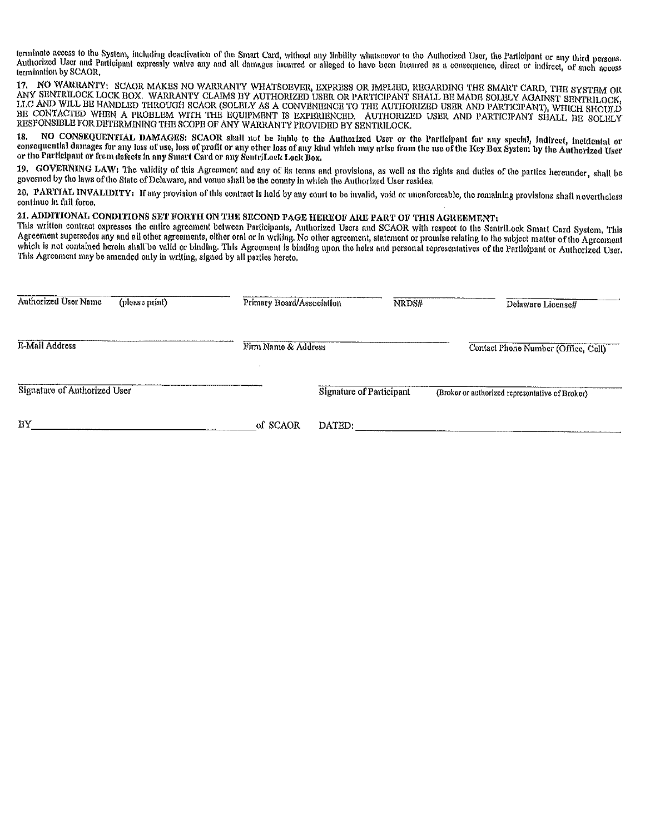terminate access to the System, including deactivation of the Smart Card, without any liability whatsoover to the Authorized User, the Participant or any third persons. Authorized User and Participant expressly walve any and all damages incurred or alleged to have been incurred as a consequence, direct or indirect, of such access termination by SCAOR.

NO WARRANTY: SCAOR MAKES NO WARRANTY WHATSOEVER, EXPRESS OR IMPLIBD, REGARDING THE SMART CARD, THE SYSTEM OR 17. ANY SENTRILOCK LOCK BOX. WARRANTY CLAIMS BY AUTHORIZED USER OR PARTICIPANT SHALL BE MADE SOLBLY AGAINST SENTRILOCK,<br>LLC AND WILL BE HANDLED THROUGH SCAOR (SOLBLY AS A CONVENIENCE TO THE AUTHORIZED USER AND PARTICIPANT), WH BE CONTACTED WHEN A PROBLEM WITH THE EQUIPMENT IS EXPERIENCED. AUTHORIZED USER AND PARTICIPANT SHALL BE SOLELY RESPONSIBLE FOR DETERMINING THE SCOPE OF ANY WARRANTY PROVIDED BY SENTRILOCK.

NO CONSEQUENTIAL DAMAGES: SCAOR shall not be liable to the Authorized User or the Participant for any special, indirect, incidental or 18. consequential damages for any loss of use, loss of profit or any other loss of any kind which may arise from the use of the Key Box System by the Authorized User or the Participant or from defects in any Smart Card or any SentriLock Lock Box,

19. GOVERNING LAW: The validity of this Agreement and any of its terms and provisions, as well as the rights and duties of the parties hereunder, shall be governed by the laws of the State of Delaware, and venue shall be the county in which the Authorized User resides.

20. PARTIAL INVALIDITY: If any provision of this contract is held by any court to be invalid, void or unenforceable, the remaining provisions shall nevertheless continue in full force.

## 21. ADDITIONAL CONDITIONS SET FORTH ON THE SECOND PAGE HEREOF ARE PART OF THIS AGREEMENT:

This written contract expresses the entire agreement between Participants, Authorized Users and SCAOR with respect to the SentriLock Smart Card System, This Agreement supersedes any and all other agreements, either oral or in writing. No other agreement, statement or promise relating to the subject matter of the Agreement which is not contained herein shall be valid or binding. This Agreement is binding upon the heirs and personal representatives of the Participant or Authorized User. This Agreement may be amended only in writing, signed by all parties hereto.

| Authorized User Name         | (please print) | Primary Board/Association | NRDS#                    | Delaware Licensell                              |
|------------------------------|----------------|---------------------------|--------------------------|-------------------------------------------------|
| <b>E-Mail Address</b>        |                | Firm Name & Address       |                          | Contact Phone Number (Office, Cell)             |
| Signature of Authorized User |                |                           | Signature of Participant | (Broker or authorized representative of Broker) |
| BY                           |                | of SCAOR                  | DATED:                   |                                                 |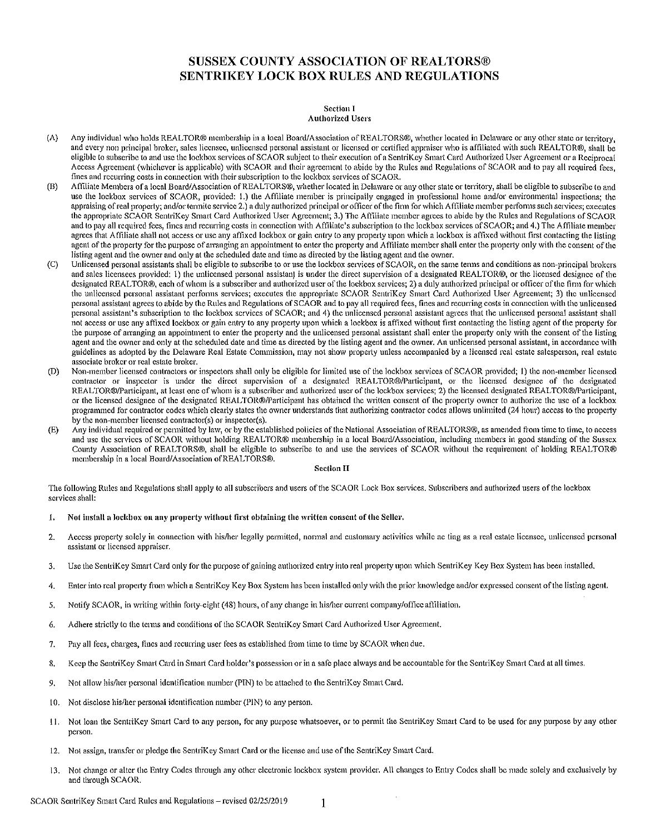# **SUSSEX COUNTY ASSOCIATION OF REALTORS® SENTRIKEY LOCK BOX RULES AND REGULATIONS**

#### **Section I Authorized Users**

- $(A)$ Any individual who holds REALTOR® membership in a local Board/Association of REALTORS®, whether located in Delaware or any other state or territory, and every non principal broker, sales licensee, unlicensed personal assistant or licensed or certified appraiser who is affiliated with such REALTOR®, shall be eligible to subscribe to and use the lockbox services of SCAOR subject to their execution of a SentriKey Smart Card Authorized User Agreement or a Reciprocal Access Agreement (whichever is applicable) with SCAOR and their agreement to abide by the Rules and Regulations of SCAOR and to pay all required fees. fines and recurring costs in connection with their subscription to the lockbox services of SCAOR.
- Affiliate Members of a local Board/Association of REALTORS®, whether located in Delaware or any other state or territory, shall be eligible to subscribe to and (B) use the lockbox services of SCAOR, provided: 1.) the Affiliate member is principally engaged in professional home and/or environmental inspections; the appraising of real property; and/or termite service 2.) a duly authorized principal or officer of the firm for which Affiliate member performs such services; executes the appropriate SCAOR SentriKey Smart Card Authorized User Agreement; 3.) The Affiliate member agrees to abide by the Rules and Regulations of SCAOR and to pay all required fees, fines and recurring costs in connection with Affiliate's subscription to the lockbox services of SCAOR; and 4.) The Affiliate member agrees that Affiliate shall not access or use any affixed lockbox or gain entry to any property upon which a lockbox is affixed without first contacting the listing agent of the property for the purpose of arranging an appointment to enter the property and Affiliate member shall enter the property only with the consent of the listing agent and the owner and only at the scheduled date and time as directed by the listing agent and the owner.
- $\langle C \rangle$ Unlicensed personal assistants shall be eligible to subscribe to or use the lockbox services of SCAOR, on the same terms and conditions as non-principal brokers and sales licensees provided: 1) the unlicensed personal assistant is under the direct supervision of a designated REALTOR®, or the licensed designee of the designated REALTOR®, each of whom is a subscriber and authorized user of the lockbox services; 2) a duly authorized principal or officer of the firm for which the unlicensed personal assistant performs services; executes the appropriate SCAOR SentriKey Smart Card Authorized User Agreement; 3) the unlicensed personal assistant agrees to abide by the Rules and Regulations of SCAOR and to pay all required fees, fines and recurring costs in connection with the unlicensed personal assistant's subscription to the lockbox services of SCAOR; and 4) the unlicensed personal assistant agrees that the unlicensed personal assistant shall not access or use any affixed lockbox or gain entry to any property upon which a lockbox is affixed without first contacting the listing agent of the property for the purpose of arranging an appointment to enter the property and the unlicensed personal assistant shall enter the property only with the consent of the listing agent and the owner and only at the scheduled date and time as directed by the listing agent and the owner. An unlicensed personal assistant, in accordance with guidelines as adopted by the Delaware Real Estate Commission, may not show property unless accompanied by a licensed real estate salesperson, real estate associate broker or real estate broker,
- $(D)$ Non-member licensed contractors or inspectors shall only be eligible for limited use of the lockbox services of SCAOR provided; 1) the non-member licensed contractor or inspector is under the direct supervision of a designated REALTOR®/Participant, or the licensed designee of the designated REALTOR®/Participant, at least one of whom is a subscriber and authorized user of the lockbox services; 2) the licensed designated REALTOR®/Participant, or the licensed designee of the designated REALTOR®/Participant has obtained the written consent of the property owner to authorize the use of a lockbox programmed for contractor codes which clearly states the owner understands that authorizing contractor codes allows unlimited (24 hour) access to the property by the non-member licensed contractor(s) or inspector(s).
- Any individual required or permitted by law, or by the established policies of the National Association of REALTORS®, as amended from time to time, to access  $(E)$ and use the services of SCAOR without holding REALTOR® membership in a local Board/Association, including members in good standing of the Sussex County Association of REALTORS®, shall be eligible to subscribe to and use the services of SCAOR without the requirement of holding REALTOR® membership in a local Board/Association of REALTORS®.

#### **Section II**

The following Rules and Regulations shall apply to all subscribers and users of the SCAOR Lock Box services. Subscribers and authorized users of the lockbox services shall:

- ${\bf 1.}$ Not install a lockbox on any property without first obtaining the written consent of the Seller.
- $2.$ Access property solely in connection with his/her legally permitted, normal and customary activities while ac ting as a real estate licensee, unlicensed personal assistant or licensed appraiser.
- Use the SentriKey Smart Card only for the purpose of gaining authorized entry into real property upon which SentriKey Key Box System has been installed.  $\overline{3}$ .
- Enter into real property from which a SentriKey Key Box System has been installed only with the prior knowledge and/or expressed consent of the listing agent. 4.
- Notify SCAOR, in writing within forty-eight (48) hours, of any change in his/her current company/office affiliation. -5.
- Adhere strictly to the terms and conditions of the SCAOR SentriKey Smart Card Authorized User Agreement. 6.
- Pay all fees, charges, fines and recurring user fees as established from time to time by SCAOR when due. 7.
- Keep the SentriKey Smart Card in Smart Card holder's possession or in a safe place always and be accountable for the SentriKey Smart Card at all times. 8.
- $Q$ Not allow his/her personal identification number (PIN) to be attached to the SentriKey Smart Card.
- 10. Not disclose his/her personal identification number (PIN) to any person.
- 11. Not loan the SentriKey Smart Card to any person, for any purpose whatsoever, or to permit the SentriKey Smart Card to be used for any purpose by any other person.
- 12. Not assign, transfer or pledge the SentriKey Smart Card or the license and use of the SentriKey Smart Card.
- 13. Not change or alter the Entry Codes through any other electronic lockbox system provider. All changes to Entry Codes shall be made solely and exclusively by and through SCAOR.

SCAOR SentriKey Smart Card Rules and Regulations - revised 02/25/2019

 $\mathbf{1}$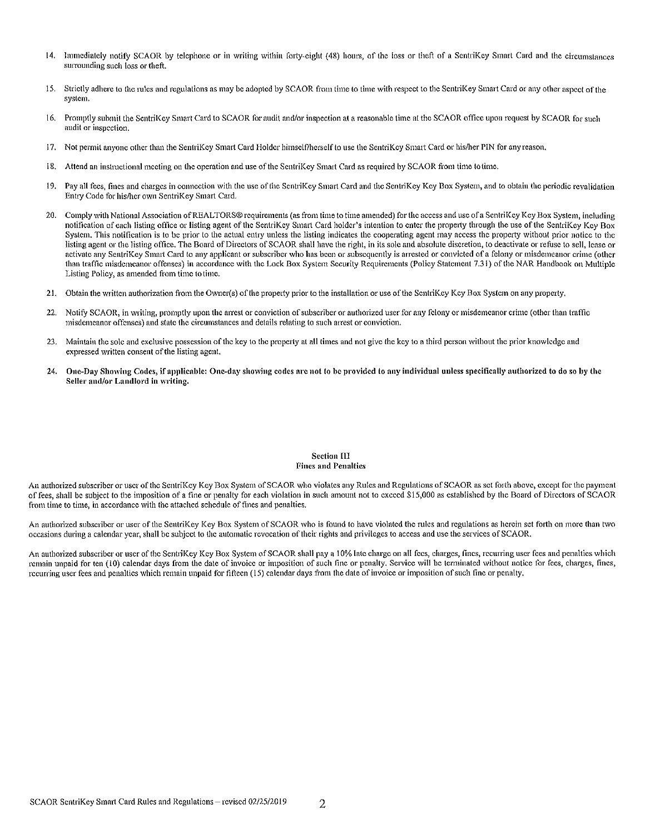- $14.$ Immediately notify SCAOR by telephone or in writing within forty-eight (48) hours, of the loss or theft of a SentriKey Smart Card and the circumstances surrounding such loss or theft.
- 15. Strictly adhere to the rules and regulations as may be adopted by SCAOR from time to time with respect to the SentriKey Smart Card or any other aspect of the system.
- 16. Promptly submit the SentriKey Smart Card to SCAOR for audit and/or inspection at a reasonable time at the SCAOR office upon request by SCAOR for such audit or inspection.
- 17. Not permit anyone other than the SentriKey Smart Card Holder himself/herself to use the SentriKey Smart Card or his/her PIN for any reason.
- 18. Attend an instructional meeting on the operation and use of the SentriKey Smart Card as required by SCAOR from time to time.
- Pay all fees, fines and charges in connection with the use of the SentriKey Smart Card and the SentriKey Key Box System, and to obtain the periodic revalidation 19. Entry Code for his/her own SentriKey Smart Card.
- Comply with National Association of REALTORS® requirements (as from time to time amended) for the access and use of a SentriKey Key Box System, including  $20.$ notification of each listing office or listing agent of the SentriKey Smart Card holder's intention to enter the property through the use of the SentriKey Key Box System. This notification is to be prior to the actual entry unless the listing indicates the coonerating agent may access the property without prior notice to the listing agent or the listing office. The Board of Directors of SCAOR shall have the right, in its sole and absolute discretion, to deactivate or refuse to sell, lease or activate any SentriKey Smart Card to any applicant or subscriber who has been or subsequently is arrested or convicted of a felony or misdemeanor crime (other than traffic misdemeanor offenses) in accordance with the Lock Box System Security Requirements (Policy Statement 7.31) of the NAR Handbook on Multiple Listing Policy, as amended from time to time.
- 21. Obtain the written authorization from the Owner(s) of the property prior to the installation or use of the SentriKey Key Box System on any property.
- Notify SCAOR, in writing, promptly upon the arrest or conviction of subscriber or authorized user for any felony or misdemeanor crime (other than traffic  $22.$ misdemeanor offenses) and state the circumstances and details relating to such arrest or conviction.
- Maintain the sole and exclusive possession of the key to the property at all times and not give the key to a third person without the prior knowledge and 23. expressed written consent of the listing agent.
- $24.$ One-Day Showing Codes, if applicable: One-day showing codes are not to be provided to any individual unless specifically authorized to do so by the Seller and/or Landlord in writing.

#### **Section III Fines and Penalties**

An authorized subscriber or user of the SentriKey Key Box System of SCAOR who violates any Rules and Regulations of SCAOR as set forth above, except for the payment of fees, shall be subject to the imposition of a fine or penalty for each violation in such amount not to exceed \$15,000 as established by the Board of Directors of SCAOR from time to time, in accordance with the attached schedule of fines and penalties.

An authorized subscriber or user of the SentriKey Key Box System of SCAOR who is found to have violated the rules and regulations as herein set forth on more than two occasions during a calendar year, shall be subject to the automatic revocation of their rights and privileges to access and use the services of SCAOR.

An authorized subscriber or user of the SentriKey Key Box System of SCAOR shall pay a 10% late charge on all fees, charges, fines, recurring user fees and penalties which remain unpaid for ten (10) calendar days from the date of invoice or imposition of such fine or penalty. Service will be terminated without notice for fees, charges, fines, recurring user fees and penalties which remain unpaid for fifteen (15) calendar days from the date of invoice or imposition of such fine or penalty.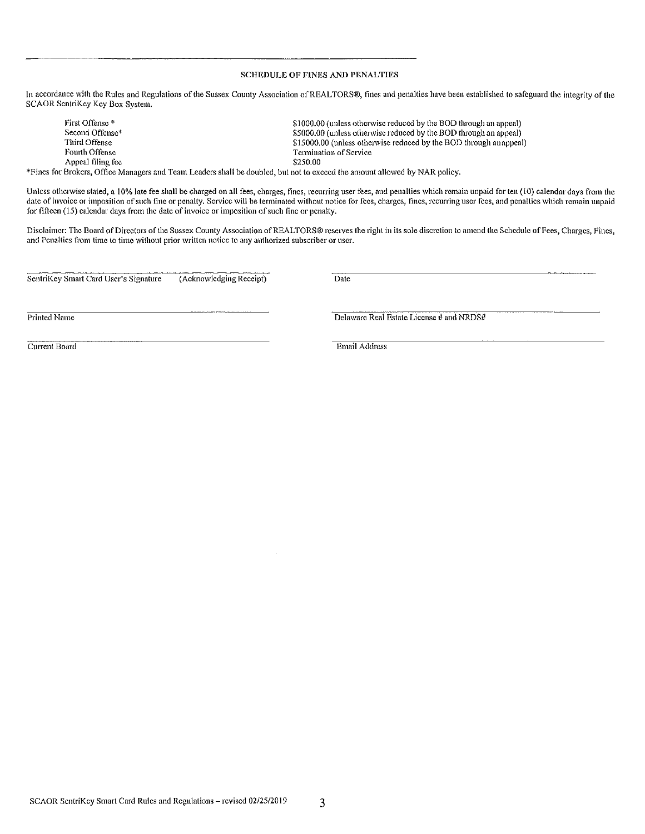#### **SCHEDULE OF FINES AND PENALTIES**

In accordance with the Rules and Regulations of the Sussex County Association of REALTORS®, fines and penalties have been established to safeguard the integrity of the SCAOR ScntriKey Key Box System.

First Offense<sup>\*</sup> \$1000.00 (unless otherwise reduced by the BOD through an appeal) Second Offense\* \$5000.00 (unless otherwise reduced by the BOD through an appeal) Third Offense \$15000.00 (unless otherwise reduced by the BOD through an appeal) Fourth Offense Termination of Service Appeal filing fee \$250.00

\*Fines for Brokers, Office Managers and Team Leaders shall be doubled, but not to exceed the amount allowed by NAR policy.

Unless otherwise stated, a 10% late fee shall be charged on all fees, charges, fines, recurring user fees, and penalties which remain unpaid for ten (10) calendar days from the date of invoice or imposition of such fine or penalty. Service will be terminated without notice for fees, charges, fines, recurring user fees, and penalties which remain unpaid for fifteen (15) calendar days from the date of invoice or imposition of such fine or penalty.

Disclaimer: The Board of Directors of the Sussex County Association of REALTORS® reserves the right in its sole discretion to amend the Schedule of Fees, Charges, Fines, and Penalties from time to time without prior written notice to any authorized subscriber or user.

SentriKey Smart Card User's Signature (Acknowledging Receipt) Date

Printed Name

Delaware Real Estate License # and NRDS#

Current Board

Email Address